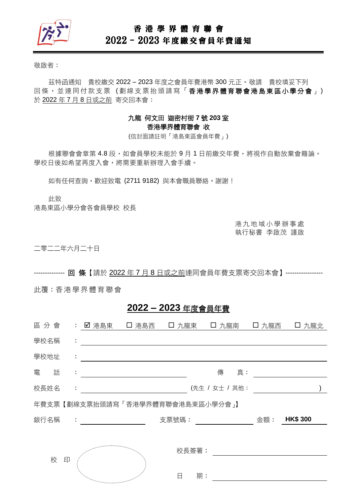

#### 香 港 學 界 體 育 聯 會

# 2022–2023 年度繳交會員年費通知

敬啟者:

茲特函通知 貴校繳交 2022 – 2023 年度之會員年費港幣 300 元正。敬請 貴校填妥下列 回條, 並連同付款支票(劃線支票抬頭請寫「香港學界體育聯會港島東區小學分會」) 於 2022 年 7 月 8 日或之前 寄交回本會:

#### 九龍 何文田 迦密村街 **7** 號 **203** 室 香港學界體育聯會 收

(信封面請註明「港島東區會員年費」)

根據聯會會章第 4.8 段,如會員學校未能於9月1日前繳交年費,將視作自動放棄會籍論。 學校日後如希望再度入會,將需要重新辦理入會手續。

如有任何查詢,歡迎致電 (2711 9182)與本會職員聯絡。謝謝!

此致

港島東區小學分會各會員學校 校長

港 九 地 域 小 學 辦 事 處 執行秘書 李啟茂 謹啟

二零二二年六月二十日

-------------- 回 條【請於 2022 年 7 月 8 日或之前連同會員年費支票寄交回本會】-----------------

此覆:香港 學 界體 育 聯會

## **2022 – 2023** 年度會員年費

| 區分會  |   |    | : 【 】港島東 【 】港島西                                       |  |       |       | □ 九龍東 □ 九龍南 □  | 口 九龍西 | 口 九龍北           |  |
|------|---|----|-------------------------------------------------------|--|-------|-------|----------------|-------|-----------------|--|
| 學校名稱 |   | ÷  |                                                       |  |       |       |                |       |                 |  |
| 學校地址 |   | ÷  |                                                       |  |       |       |                |       |                 |  |
| 電    | 話 | ÷  |                                                       |  |       |       | 傳<br>真:        |       |                 |  |
| 校長姓名 |   | ÷. |                                                       |  |       |       | (先生 / 女士 / 其他: |       |                 |  |
|      |   |    | 年費支票【劃線支票抬頭請寫「香港學界體育聯會港島東區小學分會」】                      |  |       |       |                |       |                 |  |
| 銀行名稱 |   |    | $\mathcal{L}_{\rm{max}}$ and $\mathcal{L}_{\rm{max}}$ |  | 支票號碼: |       |                | 金額:   | <b>HK\$ 300</b> |  |
|      |   |    |                                                       |  |       |       |                |       |                 |  |
|      |   |    |                                                       |  |       | 校長簽署: |                |       |                 |  |
| 校    |   | 印  |                                                       |  |       |       |                |       |                 |  |
|      |   |    | <sup>ng</sup> a <sub>ng mananganan</sub>              |  | 日     | 期:    |                |       |                 |  |